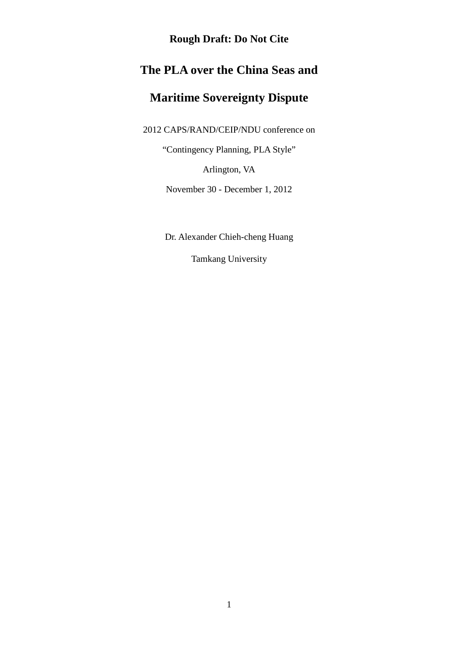# **The PLA over the China Seas and**

# **Maritime Sovereignty Dispute**

2012 CAPS/RAND/CEIP/NDU conference on

"Contingency Planning, PLA Style"

Arlington, VA

November 30 - December 1, 2012

Dr. Alexander Chieh-cheng Huang

Tamkang University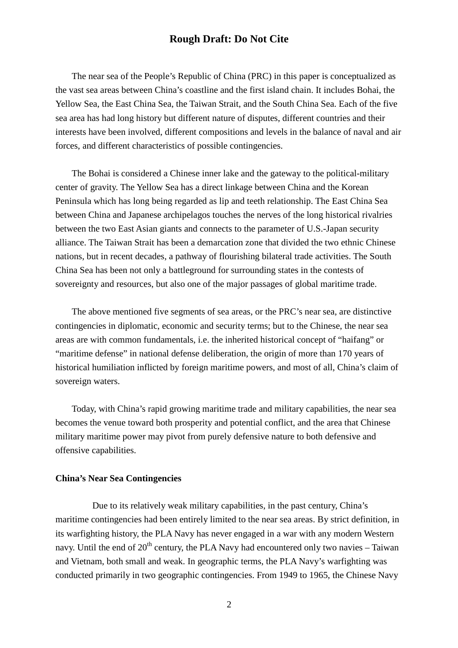The near sea of the People's Republic of China (PRC) in this paper is conceptualized as the vast sea areas between China's coastline and the first island chain. It includes Bohai, the Yellow Sea, the East China Sea, the Taiwan Strait, and the South China Sea. Each of the five sea area has had long history but different nature of disputes, different countries and their interests have been involved, different compositions and levels in the balance of naval and air forces, and different characteristics of possible contingencies.

The Bohai is considered a Chinese inner lake and the gateway to the political-military center of gravity. The Yellow Sea has a direct linkage between China and the Korean Peninsula which has long being regarded as lip and teeth relationship. The East China Sea between China and Japanese archipelagos touches the nerves of the long historical rivalries between the two East Asian giants and connects to the parameter of U.S.-Japan security alliance. The Taiwan Strait has been a demarcation zone that divided the two ethnic Chinese nations, but in recent decades, a pathway of flourishing bilateral trade activities. The South China Sea has been not only a battleground for surrounding states in the contests of sovereignty and resources, but also one of the major passages of global maritime trade.

The above mentioned five segments of sea areas, or the PRC's near sea, are distinctive contingencies in diplomatic, economic and security terms; but to the Chinese, the near sea areas are with common fundamentals, i.e. the inherited historical concept of "haifang" or "maritime defense" in national defense deliberation, the origin of more than 170 years of historical humiliation inflicted by foreign maritime powers, and most of all, China's claim of sovereign waters.

Today, with China's rapid growing maritime trade and military capabilities, the near sea becomes the venue toward both prosperity and potential conflict, and the area that Chinese military maritime power may pivot from purely defensive nature to both defensive and offensive capabilities.

#### **China's Near Sea Contingencies**

 Due to its relatively weak military capabilities, in the past century, China's maritime contingencies had been entirely limited to the near sea areas. By strict definition, in its warfighting history, the PLA Navy has never engaged in a war with any modern Western navy. Until the end of  $20<sup>th</sup>$  century, the PLA Navy had encountered only two navies – Taiwan and Vietnam, both small and weak. In geographic terms, the PLA Navy's warfighting was conducted primarily in two geographic contingencies. From 1949 to 1965, the Chinese Navy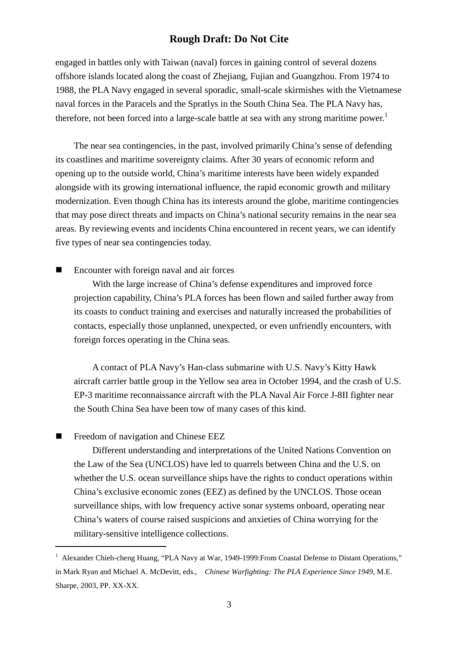engaged in battles only with Taiwan (naval) forces in gaining control of several dozens offshore islands located along the coast of Zhejiang, Fujian and Guangzhou. From 1974 to 1988, the PLA Navy engaged in several sporadic, small-scale skirmishes with the Vietnamese naval forces in the Paracels and the Spratlys in the South China Sea. The PLA Navy has, therefore, not been forced into a large-scale battle at sea with any strong maritime power.<sup>1</sup>

The near sea contingencies, in the past, involved primarily China's sense of defending its coastlines and maritime sovereignty claims. After 30 years of economic reform and opening up to the outside world, China's maritime interests have been widely expanded alongside with its growing international influence, the rapid economic growth and military modernization. Even though China has its interests around the globe, maritime contingencies that may pose direct threats and impacts on China's national security remains in the near sea areas. By reviewing events and incidents China encountered in recent years, we can identify five types of near sea contingencies today.

Encounter with foreign naval and air forces

With the large increase of China's defense expenditures and improved force projection capability, China's PLA forces has been flown and sailed further away from its coasts to conduct training and exercises and naturally increased the probabilities of contacts, especially those unplanned, unexpected, or even unfriendly encounters, with foreign forces operating in the China seas.

A contact of PLA Navy's Han-class submarine with U.S. Navy's Kitty Hawk aircraft carrier battle group in the Yellow sea area in October 1994, and the crash of U.S. EP-3 maritime reconnaissance aircraft with the PLA Naval Air Force J-8II fighter near the South China Sea have been tow of many cases of this kind.

Freedom of navigation and Chinese EEZ

֬֒

Different understanding and interpretations of the United Nations Convention on the Law of the Sea (UNCLOS) have led to quarrels between China and the U.S. on whether the U.S. ocean surveillance ships have the rights to conduct operations within China's exclusive economic zones (EEZ) as defined by the UNCLOS. Those ocean surveillance ships, with low frequency active sonar systems onboard, operating near China's waters of course raised suspicions and anxieties of China worrying for the military-sensitive intelligence collections.

<sup>&</sup>lt;sup>1</sup> Alexander Chieh-cheng Huang, "PLA Navy at War, 1949-1999: From Coastal Defense to Distant Operations," in Mark Ryan and Michael A. McDevitt, eds., *Chinese Warfighting: The PLA Experience Since 1949*, M.E. Sharpe, 2003, PP. XX-XX.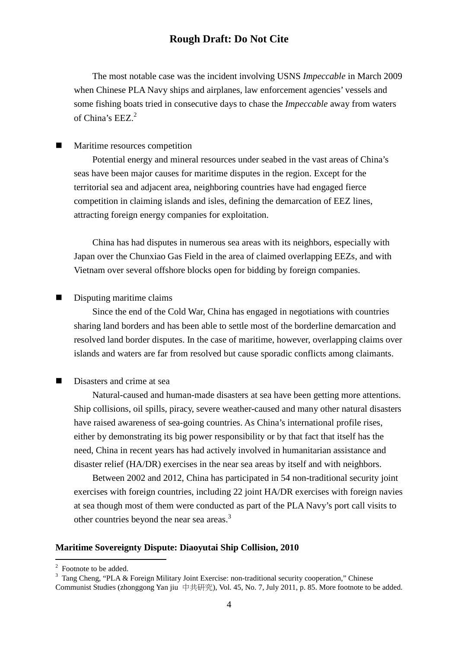The most notable case was the incident involving USNS *Impeccable* in March 2009 when Chinese PLA Navy ships and airplanes, law enforcement agencies' vessels and some fishing boats tried in consecutive days to chase the *Impeccable* away from waters of China's EEZ.<sup>2</sup>

#### **Maritime resources competition**

Potential energy and mineral resources under seabed in the vast areas of China's seas have been major causes for maritime disputes in the region. Except for the territorial sea and adjacent area, neighboring countries have had engaged fierce competition in claiming islands and isles, defining the demarcation of EEZ lines, attracting foreign energy companies for exploitation.

China has had disputes in numerous sea areas with its neighbors, especially with Japan over the Chunxiao Gas Field in the area of claimed overlapping EEZs, and with Vietnam over several offshore blocks open for bidding by foreign companies.

#### Disputing maritime claims

Since the end of the Cold War, China has engaged in negotiations with countries sharing land borders and has been able to settle most of the borderline demarcation and resolved land border disputes. In the case of maritime, however, overlapping claims over islands and waters are far from resolved but cause sporadic conflicts among claimants.

#### Disasters and crime at sea

Natural-caused and human-made disasters at sea have been getting more attentions. Ship collisions, oil spills, piracy, severe weather-caused and many other natural disasters have raised awareness of sea-going countries. As China's international profile rises, either by demonstrating its big power responsibility or by that fact that itself has the need, China in recent years has had actively involved in humanitarian assistance and disaster relief (HA/DR) exercises in the near sea areas by itself and with neighbors.

Between 2002 and 2012, China has participated in 54 non-traditional security joint exercises with foreign countries, including 22 joint HA/DR exercises with foreign navies at sea though most of them were conducted as part of the PLA Navy's port call visits to other countries beyond the near sea areas.<sup>3</sup>

#### **Maritime Sovereignty Dispute: Diaoyutai Ship Collision, 2010**

 $2^2$  Footnote to be added.

<sup>&</sup>lt;sup>3</sup> Tang Cheng, "PLA & Foreign Military Joint Exercise: non-traditional security cooperation," Chinese Communist Studies (zhonggong Yan jiu 中共研究), Vol. 45, No. 7, July 2011, p. 85. More footnote to be added.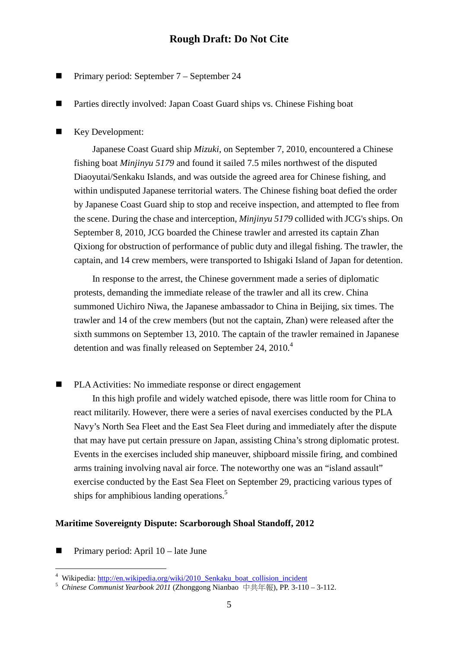- **Primary period: September 7 September 24**
- Parties directly involved: Japan Coast Guard ships vs. Chinese Fishing boat
- Key Development:

Japanese Coast Guard ship *Mizuki*, on September 7, 2010, encountered a Chinese fishing boat *Minjinyu 5179* and found it sailed 7.5 miles northwest of the disputed Diaoyutai/Senkaku Islands, and was outside the agreed area for Chinese fishing, and within undisputed Japanese territorial waters. The Chinese fishing boat defied the order by Japanese Coast Guard ship to stop and receive inspection, and attempted to flee from the scene. During the chase and interception, *Minjinyu 5179* collided with JCG's ships. On September 8, 2010, JCG boarded the Chinese trawler and arrested its captain Zhan Qixiong for obstruction of performance of public duty and illegal fishing. The trawler, the captain, and 14 crew members, were transported to Ishigaki Island of Japan for detention.

In response to the arrest, the Chinese government made a series of diplomatic protests, demanding the immediate release of the trawler and all its crew. China summoned Uichiro Niwa, the Japanese ambassador to China in Beijing, six times. The trawler and 14 of the crew members (but not the captain, Zhan) were released after the sixth summons on September 13, 2010. The captain of the trawler remained in Japanese detention and was finally released on September 24, 2010.<sup>4</sup>

PLA Activities: No immediate response or direct engagement

In this high profile and widely watched episode, there was little room for China to react militarily. However, there were a series of naval exercises conducted by the PLA Navy's North Sea Fleet and the East Sea Fleet during and immediately after the dispute that may have put certain pressure on Japan, assisting China's strong diplomatic protest. Events in the exercises included ship maneuver, shipboard missile firing, and combined arms training involving naval air force. The noteworthy one was an "island assault" exercise conducted by the East Sea Fleet on September 29, practicing various types of ships for amphibious landing operations.<sup>5</sup>

#### **Maritime Sovereignty Dispute: Scarborough Shoal Standoff, 2012**

Primary period: April 10 – late June

<sup>&</sup>lt;sup>4</sup> Wikipedia: http://en.wikipedia.org/wiki/2010\_Senkaku\_boat\_collision\_incident

<sup>5</sup> *Chinese Communist Yearbook 2011* (Zhonggong Nianbao 中共年報), PP. 3-110 – 3-112.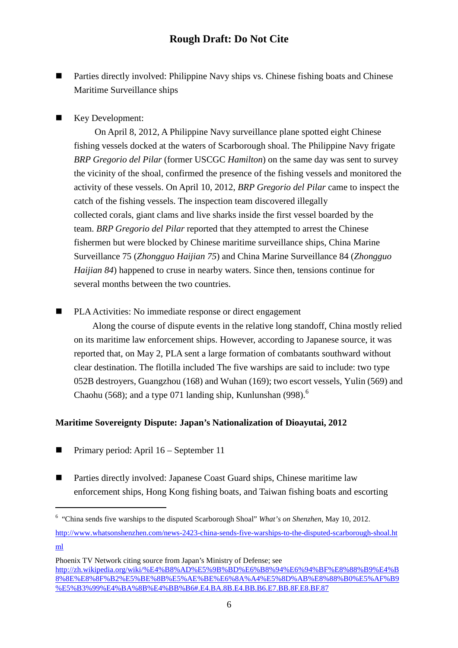■ Parties directly involved: Philippine Navy ships vs. Chinese fishing boats and Chinese Maritime Surveillance ships

### Key Development:

 On April 8, 2012, A Philippine Navy surveillance plane spotted eight Chinese fishing vessels docked at the waters of Scarborough shoal. The Philippine Navy frigate *BRP Gregorio del Pilar* (former USCGC *Hamilton*) on the same day was sent to survey the vicinity of the shoal, confirmed the presence of the fishing vessels and monitored the activity of these vessels. On April 10, 2012, *BRP Gregorio del Pilar* came to inspect the catch of the fishing vessels. The inspection team discovered illegally collected corals, giant clams and live sharks inside the first vessel boarded by the team. *BRP Gregorio del Pilar* reported that they attempted to arrest the Chinese fishermen but were blocked by Chinese maritime surveillance ships, China Marine Surveillance 75 (*Zhongguo Haijian 75*) and China Marine Surveillance 84 (*Zhongguo Haijian 84*) happened to cruse in nearby waters. Since then, tensions continue for several months between the two countries.

#### ■ PLA Activities: No immediate response or direct engagement

Along the course of dispute events in the relative long standoff, China mostly relied on its maritime law enforcement ships. However, according to Japanese source, it was reported that, on May 2, PLA sent a large formation of combatants southward without clear destination. The flotilla included The five warships are said to include: two type 052B destroyers, Guangzhou (168) and Wuhan (169); two escort vessels, Yulin (569) and Chaohu (568); and a type 071 landing ship, Kunlunshan (998).<sup>6</sup>

#### **Maritime Sovereignty Dispute: Japan's Nationalization of Dioayutai, 2012**

**Primary period:** April  $16$  – September 11

֬֒

■ Parties directly involved: Japanese Coast Guard ships, Chinese maritime law enforcement ships, Hong Kong fishing boats, and Taiwan fishing boats and escorting

<sup>6</sup> "China sends five warships to the disputed Scarborough Shoal" *What's on Shenzhen*, May 10, 2012.

http://www.whatsonshenzhen.com/news-2423-china-sends-five-warships-to-the-disputed-scarborough-shoal.ht ml

Phoenix TV Network citing source from Japan's Ministry of Defense; see http://zh.wikipedia.org/wiki/%E4%B8%AD%E5%9B%BD%E6%B8%94%E6%94%BF%E8%88%B9%E4%B 8%8E%E8%8F%B2%E5%BE%8B%E5%AE%BE%E6%8A%A4%E5%8D%AB%E8%88%B0%E5%AF%B9 %E5%B3%99%E4%BA%8B%E4%BB%B6#.E4.BA.8B.E4.BB.B6.E7.BB.8F.E8.BF.87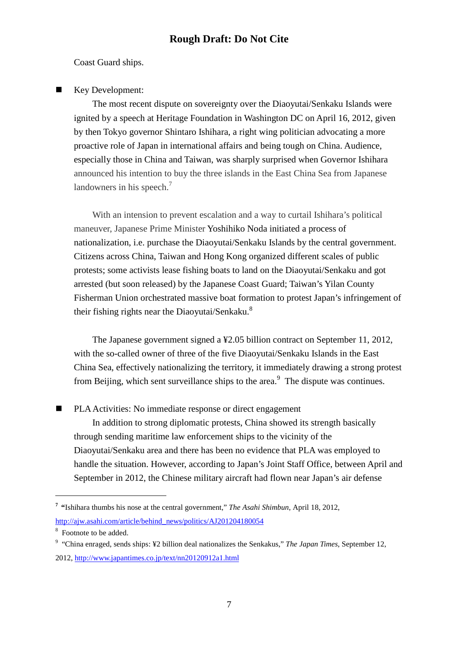Coast Guard ships.

Key Development:

The most recent dispute on sovereignty over the Diaoyutai/Senkaku Islands were ignited by a speech at Heritage Foundation in Washington DC on April 16, 2012, given by then Tokyo governor Shintaro Ishihara, a right wing politician advocating a more proactive role of Japan in international affairs and being tough on China. Audience, especially those in China and Taiwan, was sharply surprised when Governor Ishihara announced his intention to buy the three islands in the East China Sea from Japanese landowners in his speech.<sup>7</sup>

With an intension to prevent escalation and a way to curtail Ishihara's political maneuver, Japanese Prime Minister Yoshihiko Noda initiated a process of nationalization, i.e. purchase the Diaoyutai/Senkaku Islands by the central government. Citizens across China, Taiwan and Hong Kong organized different scales of public protests; some activists lease fishing boats to land on the Diaoyutai/Senkaku and got arrested (but soon released) by the Japanese Coast Guard; Taiwan's Yilan County Fisherman Union orchestrated massive boat formation to protest Japan's infringement of their fishing rights near the Diaoyutai/Senkaku.<sup>8</sup>

The Japanese government signed a ¥2.05 billion contract on September 11, 2012, with the so-called owner of three of the five Diaoyutai/Senkaku Islands in the East China Sea, effectively nationalizing the territory, it immediately drawing a strong protest from Beijing, which sent surveillance ships to the area. $<sup>9</sup>$  The dispute was continues.</sup>

■ PLA Activities: No immediate response or direct engagement

In addition to strong diplomatic protests, China showed its strength basically through sending maritime law enforcement ships to the vicinity of the Diaoyutai/Senkaku area and there has been no evidence that PLA was employed to handle the situation. However, according to Japan's Joint Staff Office, between April and September in 2012, the Chinese military aircraft had flown near Japan's air defense

ı

**<sup>7</sup> "**Ishihara thumbs his nose at the central government," *The Asahi Shimbun*, April 18, 2012, http://ajw.asahi.com/article/behind\_news/politics/AJ201204180054

<sup>&</sup>lt;sup>8</sup> Footnote to be added.

<sup>&</sup>lt;sup>9</sup> "China enraged, sends ships: ¥2 billion deal nationalizes the Senkakus," *The Japan Times*, September 12, 2012, http://www.japantimes.co.jp/text/nn20120912a1.html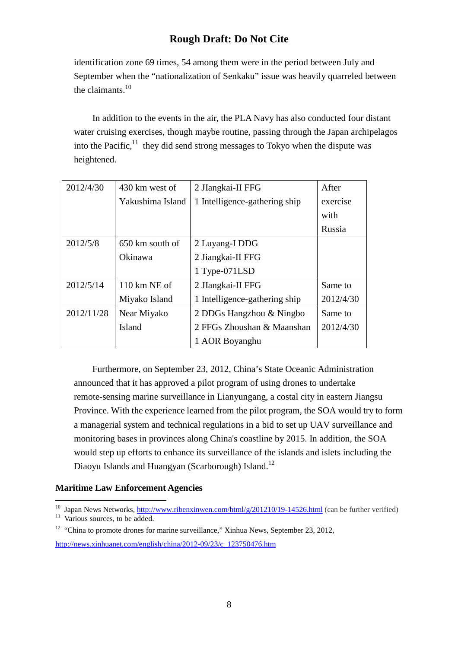identification zone 69 times, 54 among them were in the period between July and September when the "nationalization of Senkaku" issue was heavily quarreled between the claimants.<sup>10</sup>

In addition to the events in the air, the PLA Navy has also conducted four distant water cruising exercises, though maybe routine, passing through the Japan archipelagos into the Pacific, $11$  they did send strong messages to Tokyo when the dispute was heightened.

| 2012/4/30  | 430 km west of                 | 2 JIangkai-II FFG             | After     |
|------------|--------------------------------|-------------------------------|-----------|
|            | Yakushima Island               | 1 Intelligence-gathering ship | exercise  |
|            |                                |                               | with      |
|            |                                |                               | Russia    |
| 2012/5/8   | 650 km south of                | 2 Luyang-I DDG                |           |
|            | Okinawa                        | 2 Jiangkai-II FFG             |           |
|            |                                | 1 Type-071LSD                 |           |
| 2012/5/14  | $110 \text{ km} \text{ NE}$ of | 2 JIangkai-II FFG             | Same to   |
|            | Miyako Island                  | 1 Intelligence-gathering ship | 2012/4/30 |
| 2012/11/28 | Near Miyako                    | 2 DDGs Hangzhou & Ningbo      | Same to   |
|            | Island                         | 2 FFGs Zhoushan & Maanshan    | 2012/4/30 |
|            |                                | 1 AOR Boyanghu                |           |

Furthermore, on September 23, 2012, China's State Oceanic Administration announced that it has approved a pilot program of using drones to undertake remote-sensing marine surveillance in Lianyungang, a costal city in eastern Jiangsu Province. With the experience learned from the pilot program, the SOA would try to form a managerial system and technical regulations in a bid to set up UAV surveillance and monitoring bases in provinces along China's coastline by 2015. In addition, the SOA would step up efforts to enhance its surveillance of the islands and islets including the Diaoyu Islands and Huangyan (Scarborough) Island.<sup>12</sup>

#### **Maritime Law Enforcement Agencies**  ı

<sup>&</sup>lt;sup>10</sup> Japan News Networks, http://www.ribenxinwen.com/html/g/201210/19-14526.html (can be further verified)

 $11$  Various sources, to be added.

<sup>&</sup>lt;sup>12</sup> "China to promote drones for marine surveillance," Xinhua News, September 23, 2012, http://news.xinhuanet.com/english/china/2012-09/23/c\_123750476.htm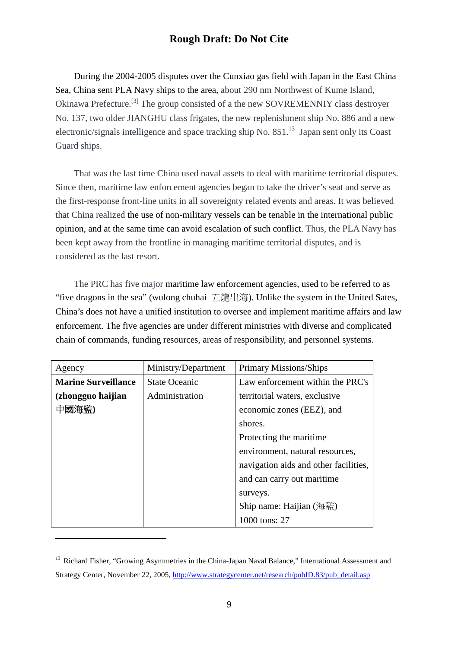During the 2004-2005 disputes over the Cunxiao gas field with Japan in the East China Sea, China sent PLA Navy ships to the area, about 290 nm Northwest of Kume Island, Okinawa Prefecture.[3] The group consisted of a the new SOVREMENNIY class destroyer No. 137, two older JIANGHU class frigates, the new replenishment ship No. 886 and a new electronic/signals intelligence and space tracking ship No. 851.<sup>13</sup> Japan sent only its Coast Guard ships.

 That was the last time China used naval assets to deal with maritime territorial disputes. Since then, maritime law enforcement agencies began to take the driver's seat and serve as the first-response front-line units in all sovereignty related events and areas. It was believed that China realized the use of non-military vessels can be tenable in the international public opinion, and at the same time can avoid escalation of such conflict. Thus, the PLA Navy has been kept away from the frontline in managing maritime territorial disputes, and is considered as the last resort.

 The PRC has five major maritime law enforcement agencies, used to be referred to as "five dragons in the sea" (wulong chuhai 五龍出海). Unlike the system in the United Sates, China's does not have a unified institution to oversee and implement maritime affairs and law enforcement. The five agencies are under different ministries with diverse and complicated chain of commands, funding resources, areas of responsibility, and personnel systems.

| Agency                     | Ministry/Department  | <b>Primary Missions/Ships</b>         |
|----------------------------|----------------------|---------------------------------------|
| <b>Marine Surveillance</b> | <b>State Oceanic</b> | Law enforcement within the PRC's      |
| (zhongguo haijian          | Administration       | territorial waters, exclusive         |
| 中國海監)                      |                      | economic zones (EEZ), and             |
|                            |                      | shores.                               |
|                            |                      | Protecting the maritime.              |
|                            |                      | environment, natural resources,       |
|                            |                      | navigation aids and other facilities, |
|                            |                      | and can carry out maritime.           |
|                            |                      | surveys.                              |
|                            |                      | Ship name: Haijian $(\frac{1}{2}$ 監)  |
|                            |                      | 1000 tons: 27                         |

<sup>&</sup>lt;sup>13</sup> Richard Fisher, "Growing Asymmetries in the China-Japan Naval Balance," International Assessment and Strategy Center, November 22, 2005, http://www.strategycenter.net/research/pubID.83/pub\_detail.asp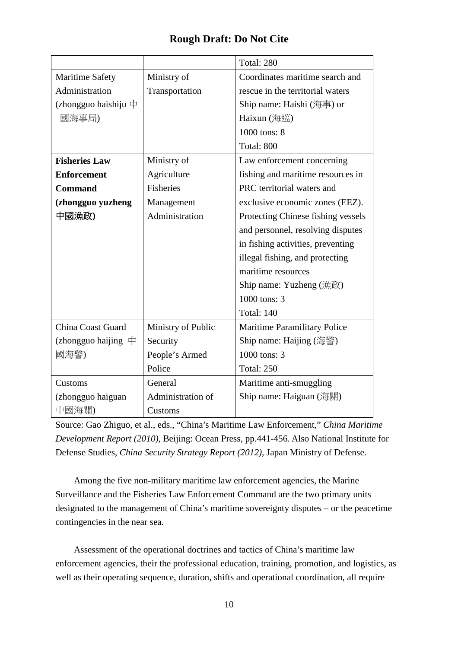|                         |                    | Total: 280                          |
|-------------------------|--------------------|-------------------------------------|
| <b>Maritime Safety</b>  | Ministry of        | Coordinates maritime search and     |
| Administration          | Transportation     | rescue in the territorial waters    |
| (zhongguo haishiju $\#$ |                    | Ship name: Haishi (海事) or           |
| 國海事局)                   |                    | Haixun (海巡)                         |
|                         |                    | 1000 tons: 8                        |
|                         |                    | Total: 800                          |
| <b>Fisheries Law</b>    | Ministry of        | Law enforcement concerning          |
| <b>Enforcement</b>      | Agriculture        | fishing and maritime resources in   |
| <b>Command</b>          | <b>Fisheries</b>   | PRC territorial waters and          |
| (zhongguo yuzheng       | Management         | exclusive economic zones (EEZ).     |
| 中國漁政)                   | Administration     | Protecting Chinese fishing vessels  |
|                         |                    | and personnel, resolving disputes   |
|                         |                    | in fishing activities, preventing   |
|                         |                    | illegal fishing, and protecting     |
|                         |                    | maritime resources                  |
|                         |                    | Ship name: Yuzheng (漁政)             |
|                         |                    | 1000 tons: 3                        |
|                         |                    | <b>Total: 140</b>                   |
| China Coast Guard       | Ministry of Public | <b>Maritime Paramilitary Police</b> |
| (zhongguo haijing $\#$  | Security           | Ship name: Haijing (海警)             |
| 國海警)                    | People's Armed     | 1000 tons: 3                        |
|                         | Police             | <b>Total: 250</b>                   |
| Customs                 | General            | Maritime anti-smuggling             |
| (zhongguo haiguan       | Administration of  | Ship name: Haiguan (海關)             |
| 中國海關)                   | Customs            |                                     |

Source: Gao Zhiguo, et al., eds., "China's Maritime Law Enforcement," *China Maritime Development Report (2010)*, Beijing: Ocean Press, pp.441-456. Also National Institute for Defense Studies, *China Security Strategy Report (2012)*, Japan Ministry of Defense.

 Among the five non-military maritime law enforcement agencies, the Marine Surveillance and the Fisheries Law Enforcement Command are the two primary units designated to the management of China's maritime sovereignty disputes – or the peacetime contingencies in the near sea.

Assessment of the operational doctrines and tactics of China's maritime law enforcement agencies, their the professional education, training, promotion, and logistics, as well as their operating sequence, duration, shifts and operational coordination, all require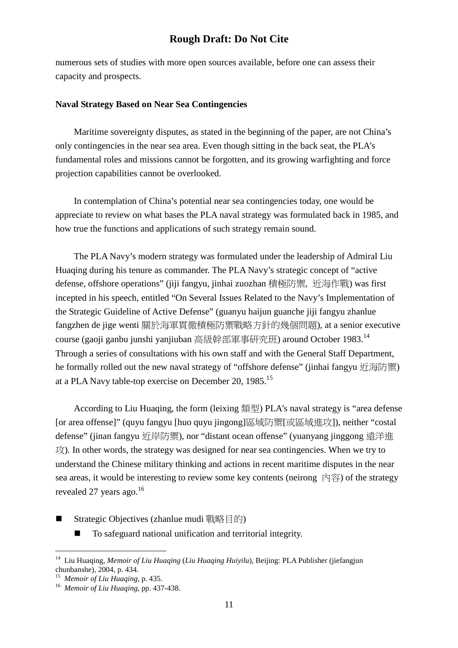numerous sets of studies with more open sources available, before one can assess their capacity and prospects.

#### **Naval Strategy Based on Near Sea Contingencies**

 Maritime sovereignty disputes, as stated in the beginning of the paper, are not China's only contingencies in the near sea area. Even though sitting in the back seat, the PLA's fundamental roles and missions cannot be forgotten, and its growing warfighting and force projection capabilities cannot be overlooked.

 In contemplation of China's potential near sea contingencies today, one would be appreciate to review on what bases the PLA naval strategy was formulated back in 1985, and how true the functions and applications of such strategy remain sound.

The PLA Navy's modern strategy was formulated under the leadership of Admiral Liu Huaqing during his tenure as commander. The PLA Navy's strategic concept of "active defense, offshore operations" (jiji fangyu, jinhai zuozhan 積極防禦, 近海作戰) was first incepted in his speech, entitled "On Several Issues Related to the Navy's Implementation of the Strategic Guideline of Active Defense" (guanyu haijun guanche jiji fangyu zhanlue fangzhen de jige wenti 關於海軍貫徹積極防禦戰略方針的幾個問題), at a senior executive course (gaoji ganbu junshi yanjiuban 高級幹部軍事研究班) around October 1983.<sup>14</sup> Through a series of consultations with his own staff and with the General Staff Department, he formally rolled out the new naval strategy of "offshore defense" (jinhai fangyu 近海防禦) at a PLA Navy table-top exercise on December 20, 1985.<sup>15</sup>

 According to Liu Huaqing, the form (leixing 類型) PLA's naval strategy is "area defense [or area offense]" (quyu fangyu [huo quyu jingong]區域防禦[或區域進攻]), neither "costal defense" (jinan fangyu 折岸防禦), nor "distant ocean offense" (yuanyang jinggong 遠洋推  $\overrightarrow{L}$ ). In other words, the strategy was designed for near sea contingencies. When we try to understand the Chinese military thinking and actions in recent maritime disputes in the near sea areas, it would be interesting to review some key contents (neirong  $\overrightarrow{P}$ ) of the strategy revealed 27 years ago.<sup>16</sup>

- Strategic Objectives (zhanlue mudi 戰略目的)
	- To safeguard national unification and territorial integrity.

<sup>14</sup> Liu Huaqing, *Memoir of Liu Huaqing* (*Liu Huaqing Huiyilu*), Beijing: PLA Publisher (jiefangjun chunbanshe), 2004, p. 434.

<sup>15</sup> *Memoir of Liu Huaqing*, p. 435.

<sup>16</sup> *Memoir of Liu Huaqing*, pp. 437-438.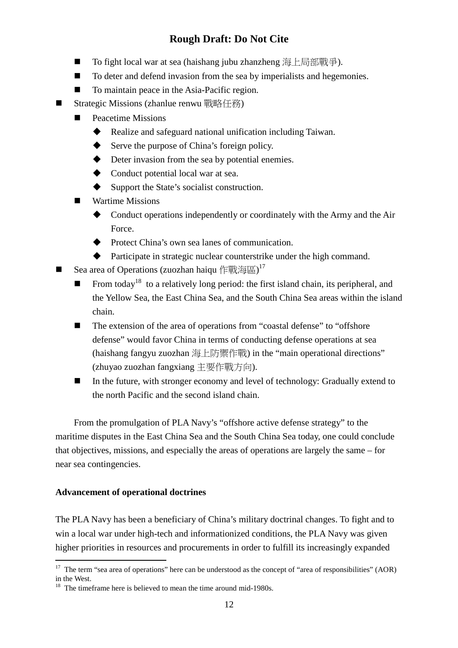- To fight local war at sea (haishang jubu zhanzheng 海上局部戰爭).
- To deter and defend invasion from the sea by imperialists and hegemonies.
- To maintain peace in the Asia-Pacific region.
- Strategic Missions (zhanlue renwu 戰略任務)
	- Peacetime Missions
		- $\blacklozenge$ Realize and safeguard national unification including Taiwan.
		- $\blacklozenge$ Serve the purpose of China's foreign policy.
		- $\bullet$ Deter invasion from the sea by potential enemies.
		- ◆ Conduct potential local war at sea.
		- $\blacklozenge$ Support the State's socialist construction.
	- Wartime Missions
		- $\blacklozenge$  Conduct operations independently or coordinately with the Army and the Air Force.
		- Protect China's own sea lanes of communication.
		- $\blacklozenge$ Participate in strategic nuclear counterstrike under the high command.
- Sea area of Operations (zuozhan haiqu 作戰海區) $17$ 
	- From today<sup>18</sup> to a relatively long period: the first island chain, its peripheral, and the Yellow Sea, the East China Sea, and the South China Sea areas within the island chain.
	- The extension of the area of operations from "coastal defense" to "offshore" defense" would favor China in terms of conducting defense operations at sea (haishang fangyu zuozhan 海上防禦作戰) in the "main operational directions" (zhuyao zuozhan fangxiang 主要作戰方向).
	- In the future, with stronger economy and level of technology: Gradually extend to the north Pacific and the second island chain.

From the promulgation of PLA Navy's "offshore active defense strategy" to the maritime disputes in the East China Sea and the South China Sea today, one could conclude that objectives, missions, and especially the areas of operations are largely the same – for near sea contingencies.

#### **Advancement of operational doctrines**

֬֒

The PLA Navy has been a beneficiary of China's military doctrinal changes. To fight and to win a local war under high-tech and informationized conditions, the PLA Navy was given higher priorities in resources and procurements in order to fulfill its increasingly expanded

<sup>&</sup>lt;sup>17</sup> The term "sea area of operations" here can be understood as the concept of "area of responsibilities" (AOR) in the West.

<sup>&</sup>lt;sup>18</sup> The timeframe here is believed to mean the time around mid-1980s.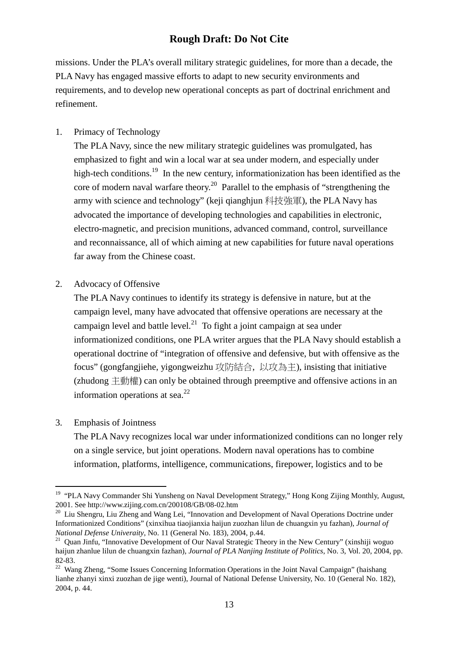missions. Under the PLA's overall military strategic guidelines, for more than a decade, the PLA Navy has engaged massive efforts to adapt to new security environments and requirements, and to develop new operational concepts as part of doctrinal enrichment and refinement.

### 1. Primacy of Technology

The PLA Navy, since the new military strategic guidelines was promulgated, has emphasized to fight and win a local war at sea under modern, and especially under high-tech conditions.<sup>19</sup> In the new century, informationization has been identified as the core of modern naval warfare theory.<sup>20</sup> Parallel to the emphasis of "strengthening the army with science and technology" (keji qianghjun 科技強軍), the PLA Navy has advocated the importance of developing technologies and capabilities in electronic, electro-magnetic, and precision munitions, advanced command, control, surveillance and reconnaissance, all of which aiming at new capabilities for future naval operations far away from the Chinese coast.

#### 2. Advocacy of Offensive

The PLA Navy continues to identify its strategy is defensive in nature, but at the campaign level, many have advocated that offensive operations are necessary at the campaign level and battle level.<sup>21</sup> To fight a joint campaign at sea under informationized conditions, one PLA writer argues that the PLA Navy should establish a operational doctrine of "integration of offensive and defensive, but with offensive as the focus" (gongfangjiehe, yigongweizhu 攻防結合, 以攻為主), insisting that initiative (zhudong  $\pm \theta$ ) can only be obtained through preemptive and offensive actions in an information operations at sea. $^{22}$ 

#### 3. Emphasis of Jointness

The PLA Navy recognizes local war under informationized conditions can no longer rely on a single service, but joint operations. Modern naval operations has to combine information, platforms, intelligence, communications, firepower, logistics and to be

<sup>&</sup>lt;sup>19</sup> "PLA Navy Commander Shi Yunsheng on Naval Development Strategy," Hong Kong Zijing Monthly, August, 2001. See http://www.zijing.com.cn/200108/GB/08-02.htm

<sup>&</sup>lt;sup>20</sup> Liu Shengru, Liu Zheng and Wang Lei, "Innovation and Development of Naval Operations Doctrine under Informationized Conditions" (xinxihua tiaojianxia haijun zuozhan lilun de chuangxin yu fazhan), *Journal of National Defense Univeraity*, No. 11 (General No. 183), 2004, p.44.

<sup>&</sup>lt;sup>21</sup> Quan Jinfu, "Innovative Development of Our Naval Strategic Theory in the New Century" (xinshiji woguo haijun zhanlue lilun de chuangxin fazhan), *Journal of PLA Nanjing Institute of Politics*, No. 3, Vol. 20, 2004, pp. 82-83.

<sup>&</sup>lt;sup>22</sup> Wang Zheng, "Some Issues Concerning Information Operations in the Joint Naval Campaign" (haishang lianhe zhanyi xinxi zuozhan de jige wenti), Journal of National Defense University, No. 10 (General No. 182), 2004, p. 44.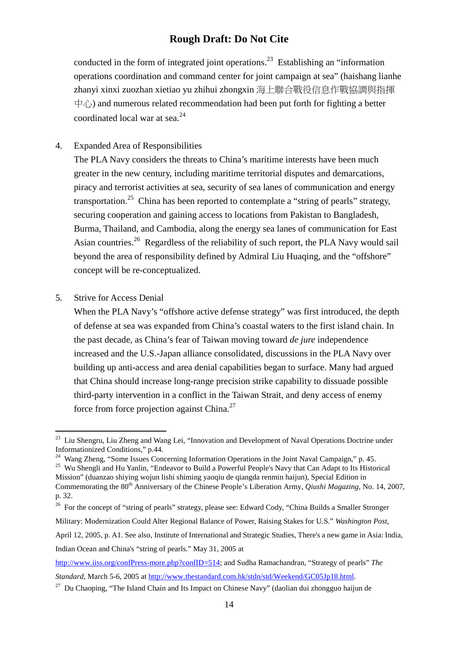conducted in the form of integrated joint operations.<sup>23</sup> Establishing an "information" operations coordination and command center for joint campaign at sea" (haishang lianhe zhanyi xinxi zuozhan xietiao yu zhihui zhongxin 海上聯合戰役信息作戰協調與指揮  $\psi$ <sub>( $\psi$ </sub>) and numerous related recommendation had been put forth for fighting a better coordinated local war at sea.<sup>24</sup>

4. Expanded Area of Responsibilities

The PLA Navy considers the threats to China's maritime interests have been much greater in the new century, including maritime territorial disputes and demarcations, piracy and terrorist activities at sea, security of sea lanes of communication and energy transportation.<sup>25</sup> China has been reported to contemplate a "string of pearls" strategy, securing cooperation and gaining access to locations from Pakistan to Bangladesh, Burma, Thailand, and Cambodia, along the energy sea lanes of communication for East Asian countries.<sup>26</sup> Regardless of the reliability of such report, the PLA Navy would sail beyond the area of responsibility defined by Admiral Liu Huaqing, and the "offshore" concept will be re-conceptualized.

5. Strive for Access Denial

When the PLA Navy's "offshore active defense strategy" was first introduced, the depth of defense at sea was expanded from China's coastal waters to the first island chain. In the past decade, as China's fear of Taiwan moving toward *de jure* independence increased and the U.S.-Japan alliance consolidated, discussions in the PLA Navy over building up anti-access and area denial capabilities began to surface. Many had argued that China should increase long-range precision strike capability to dissuade possible third-party intervention in a conflict in the Taiwan Strait, and deny access of enemy force from force projection against China.<sup>27</sup>

Indian Ocean and China's "string of pearls." May 31, 2005 at

<sup>&</sup>lt;sup>23</sup> Liu Shengru, Liu Zheng and Wang Lei, "Innovation and Development of Naval Operations Doctrine under Informationized Conditions," p.44.

<sup>&</sup>lt;sup>24</sup> Wang Zheng, "Some Issues Concerning Information Operations in the Joint Naval Campaign," p. 45.

<sup>&</sup>lt;sup>25</sup> Wu Shengli and Hu Yanlin, "Endeavor to Build a Powerful People's Navy that Can Adapt to Its Historical Mission" (duanzao shiying wojun lishi shiming yaoqiu de qiangda renmin haijun), Special Edition in Commemorating the 80<sup>th</sup> Anniversary of the Chinese People's Liberation Army, *Qiushi Magazing*, No. 14, 2007, p. 32.

<sup>&</sup>lt;sup>26</sup> For the concept of "string of pearls" strategy, please see: Edward Cody, "China Builds a Smaller Stronger Military: Modernization Could Alter Regional Balance of Power, Raising Stakes for U.S." *Washington Post*, April 12, 2005, p. A1. See also, Institute of International and Strategic Studies, There's a new game in Asia: India,

http://www.iiss.org/confPress-more.php?confID=514; and Sudha Ramachandran, "Strategy of pearls" *The Standard*, March 5-6, 2005 at http://www.thestandard.com.hk/stdn/std/Weekend/GC05Jp18.html.

<sup>&</sup>lt;sup>27</sup> Du Chaoping, "The Island Chain and Its Impact on Chinese Navy" (daolian dui zhongguo haijun de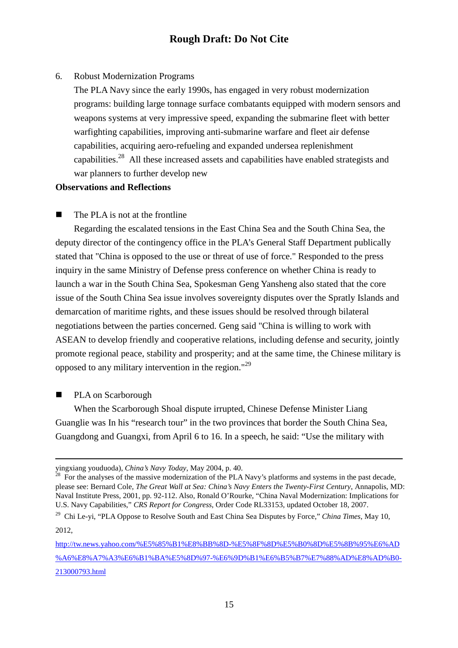#### 6. Robust Modernization Programs

The PLA Navy since the early 1990s, has engaged in very robust modernization programs: building large tonnage surface combatants equipped with modern sensors and weapons systems at very impressive speed, expanding the submarine fleet with better warfighting capabilities, improving anti-submarine warfare and fleet air defense capabilities, acquiring aero-refueling and expanded undersea replenishment capabilities.<sup>28</sup> All these increased assets and capabilities have enabled strategists and war planners to further develop new

#### **Observations and Reflections**

 $\blacksquare$  The PLA is not at the frontline

Regarding the escalated tensions in the East China Sea and the South China Sea, the deputy director of the contingency office in the PLA's General Staff Department publically stated that "China is opposed to the use or threat of use of force." Responded to the press inquiry in the same Ministry of Defense press conference on whether China is ready to launch a war in the South China Sea, Spokesman Geng Yansheng also stated that the core issue of the South China Sea issue involves sovereignty disputes over the Spratly Islands and demarcation of maritime rights, and these issues should be resolved through bilateral negotiations between the parties concerned. Geng said "China is willing to work with ASEAN to develop friendly and cooperative relations, including defense and security, jointly promote regional peace, stability and prosperity; and at the same time, the Chinese military is opposed to any military intervention in the region."<sup>29</sup>

PLA on Scarborough

When the Scarborough Shoal dispute irrupted, Chinese Defense Minister Liang Guanglie was In his "research tour" in the two provinces that border the South China Sea, Guangdong and Guangxi, from April 6 to 16. In a speech, he said: "Use the military with

yingxiang youduoda), *China's Navy Today*, May 2004, p. 40.

 $28$  For the analyses of the massive modernization of the PLA Navy's platforms and systems in the past decade, please see: Bernard Cole, *The Great Wall at Sea: China's Navy Enters the Twenty-First Century*, Annapolis, MD: Naval Institute Press, 2001, pp. 92-112. Also, Ronald O'Rourke, "China Naval Modernization: Implications for U.S. Navy Capabilities," *CRS Report for Congress*, Order Code RL33153, updated October 18, 2007.

<sup>29</sup> Chi Le-yi, "PLA Oppose to Resolve South and East China Sea Disputes by Force," *China Times*, May 10, 2012,

http://tw.news.yahoo.com/%E5%85%B1%E8%BB%8D-%E5%8F%8D%E5%B0%8D%E5%8B%95%E6%AD %A6%E8%A7%A3%E6%B1%BA%E5%8D%97-%E6%9D%B1%E6%B5%B7%E7%88%AD%E8%AD%B0- 213000793.html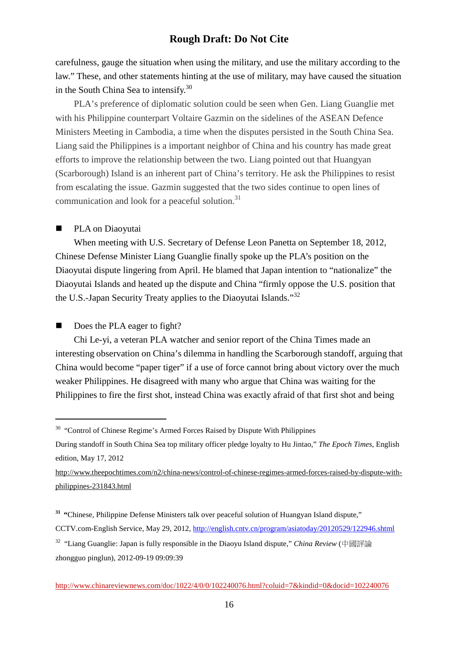carefulness, gauge the situation when using the military, and use the military according to the law." These, and other statements hinting at the use of military, may have caused the situation in the South China Sea to intensify.<sup>30</sup>

PLA's preference of diplomatic solution could be seen when Gen. Liang Guanglie met with his Philippine counterpart Voltaire Gazmin on the sidelines of the ASEAN Defence Ministers Meeting in Cambodia, a time when the disputes persisted in the South China Sea. Liang said the Philippines is a important neighbor of China and his country has made great efforts to improve the relationship between the two. Liang pointed out that Huangyan (Scarborough) Island is an inherent part of China's territory. He ask the Philippines to resist from escalating the issue. Gazmin suggested that the two sides continue to open lines of communication and look for a peaceful solution.<sup>31</sup>

#### PLA on Diaoyutai

֦

When meeting with U.S. Secretary of Defense Leon Panetta on September 18, 2012, Chinese Defense Minister Liang Guanglie finally spoke up the PLA's position on the Diaoyutai dispute lingering from April. He blamed that Japan intention to "nationalize" the Diaoyutai Islands and heated up the dispute and China "firmly oppose the U.S. position that the U.S.-Japan Security Treaty applies to the Diaoyutai Islands."<sup>32</sup>

Does the PLA eager to fight?

Chi Le-yi, a veteran PLA watcher and senior report of the China Times made an interesting observation on China's dilemma in handling the Scarborough standoff, arguing that China would become "paper tiger" if a use of force cannot bring about victory over the much weaker Philippines. He disagreed with many who argue that China was waiting for the Philippines to fire the first shot, instead China was exactly afraid of that first shot and being

 $30$  "Control of Chinese Regime's Armed Forces Raised by Dispute With Philippines

During standoff in South China Sea top military officer pledge loyalty to Hu Jintao," *The Epoch Times*, English edition, May 17, 2012

http://www.theepochtimes.com/n2/china-news/control-of-chinese-regimes-armed-forces-raised-by-dispute-withphilippines-231843.html

**<sup>31</sup> "**Chinese, Philippine Defense Ministers talk over peaceful solution of Huangyan Island dispute,"

CCTV.com-English Service, May 29, 2012, http://english.cntv.cn/program/asiatoday/20120529/122946.shtml

<sup>32</sup> "Liang Guanglie: Japan is fully responsible in the Diaoyu Island dispute," *China Review* (中國評論 zhongguo pinglun), 2012-09-19 09:09:39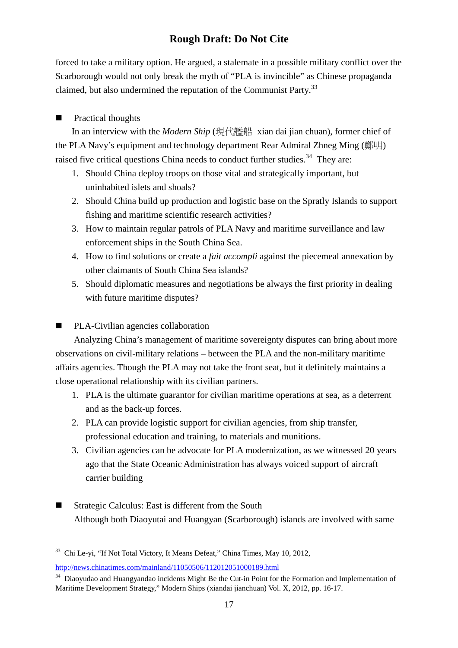forced to take a military option. He argued, a stalemate in a possible military conflict over the Scarborough would not only break the myth of "PLA is invincible" as Chinese propaganda claimed, but also undermined the reputation of the Communist Party.<sup>33</sup>

### **Practical thoughts**

In an interview with the *Modern Ship* (現代艦船 xian dai jian chuan), former chief of the PLA Navy's equipment and technology department Rear Admiral Zhneg Ming (鄭明) raised five critical questions China needs to conduct further studies.<sup>34</sup> They are:

- 1. Should China deploy troops on those vital and strategically important, but uninhabited islets and shoals?
- 2. Should China build up production and logistic base on the Spratly Islands to support fishing and maritime scientific research activities?
- 3. How to maintain regular patrols of PLA Navy and maritime surveillance and law enforcement ships in the South China Sea.
- 4. How to find solutions or create a *fait accompli* against the piecemeal annexation by other claimants of South China Sea islands?
- 5. Should diplomatic measures and negotiations be always the first priority in dealing with future maritime disputes?

### PLA-Civilian agencies collaboration

Analyzing China's management of maritime sovereignty disputes can bring about more observations on civil-military relations – between the PLA and the non-military maritime affairs agencies. Though the PLA may not take the front seat, but it definitely maintains a close operational relationship with its civilian partners.

- 1. PLA is the ultimate guarantor for civilian maritime operations at sea, as a deterrent and as the back-up forces.
- 2. PLA can provide logistic support for civilian agencies, from ship transfer, professional education and training, to materials and munitions.
- 3. Civilian agencies can be advocate for PLA modernization, as we witnessed 20 years ago that the State Oceanic Administration has always voiced support of aircraft carrier building
- Strategic Calculus: East is different from the South Although both Diaoyutai and Huangyan (Scarborough) islands are involved with same

֦

<sup>&</sup>lt;sup>33</sup> Chi Le-yi, "If Not Total Victory, It Means Defeat," China Times, May 10, 2012,

http://news.chinatimes.com/mainland/11050506/112012051000189.html

<sup>&</sup>lt;sup>34</sup> Diaoyudao and Huangyandao incidents Might Be the Cut-in Point for the Formation and Implementation of Maritime Development Strategy," Modern Ships (xiandai jianchuan) Vol. X, 2012, pp. 16-17.